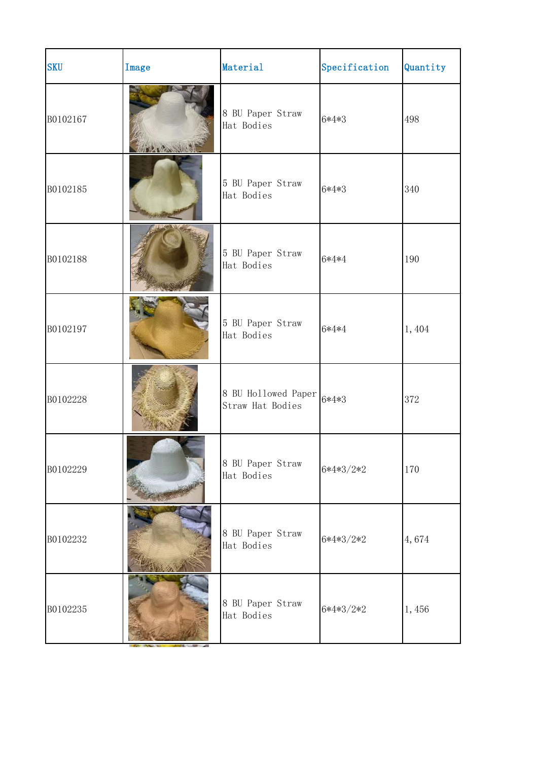| <b>SKU</b> | Image | Material                                | Specification | Quantity |  |
|------------|-------|-----------------------------------------|---------------|----------|--|
| B0102167   |       | 8 BU Paper Straw<br>Hat Bodies          | 6*4*3         | 498      |  |
| B0102185   |       | 5 BU Paper Straw<br>Hat Bodies          | 6*4*3         | 340      |  |
| B0102188   |       | 5 BU Paper Straw<br>Hat Bodies          | 6*4*4         | 190      |  |
| B0102197   |       | 5 BU Paper Straw<br>Hat Bodies          | 6*4*4         | 1,404    |  |
| B0102228   |       | 8 BU Hollowed Paper<br>Straw Hat Bodies | 6*4*3         | 372      |  |
| B0102229   |       | 8 BU Paper Straw<br>Hat Bodies          | $6*4*3/2*2$   | 170      |  |
| B0102232   |       | 8 BU Paper Straw<br>Hat Bodies          | $6*4*3/2*2$   | 4,674    |  |
| B0102235   |       | 8 BU Paper Straw<br>Hat Bodies          | $6*4*3/2*2$   | 1,456    |  |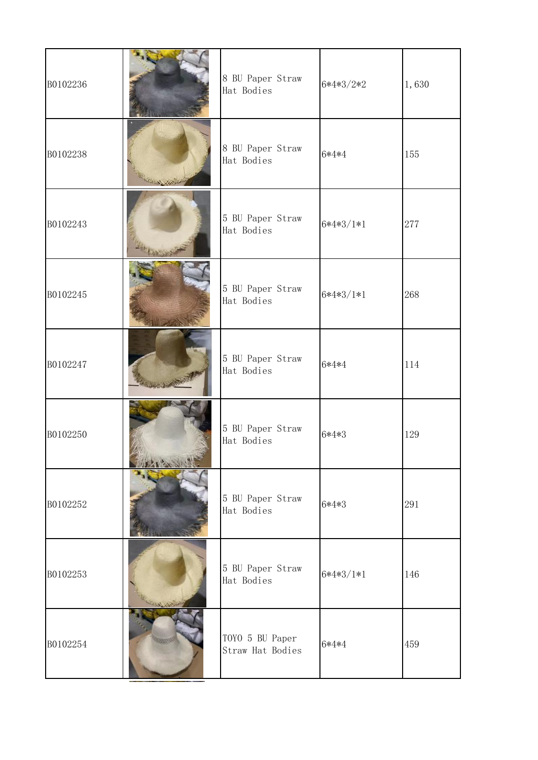| B0102236 | 8 BU Paper Straw<br>Hat Bodies      | $6*4*3/2*2$ | 1,630 |  |
|----------|-------------------------------------|-------------|-------|--|
| B0102238 | 8 BU Paper Straw<br>Hat Bodies      | 6*4*4       | 155   |  |
| B0102243 | 5 BU Paper Straw<br>Hat Bodies      | $6*4*3/1*1$ | 277   |  |
| B0102245 | 5 BU Paper Straw<br>Hat Bodies      | $6*4*3/1*1$ | 268   |  |
| B0102247 | 5 BU Paper Straw<br>Hat Bodies      | 6*4*4       | 114   |  |
| B0102250 | 5 BU Paper Straw<br>Hat Bodies      | 6*4*3       | 129   |  |
| B0102252 | 5 BU Paper Straw<br>Hat Bodies      | 6*4*3       | 291   |  |
| B0102253 | 5 BU Paper Straw<br>Hat Bodies      | $6*4*3/1*1$ | 146   |  |
| B0102254 | TOYO 5 BU Paper<br>Straw Hat Bodies | 6*4*4       | 459   |  |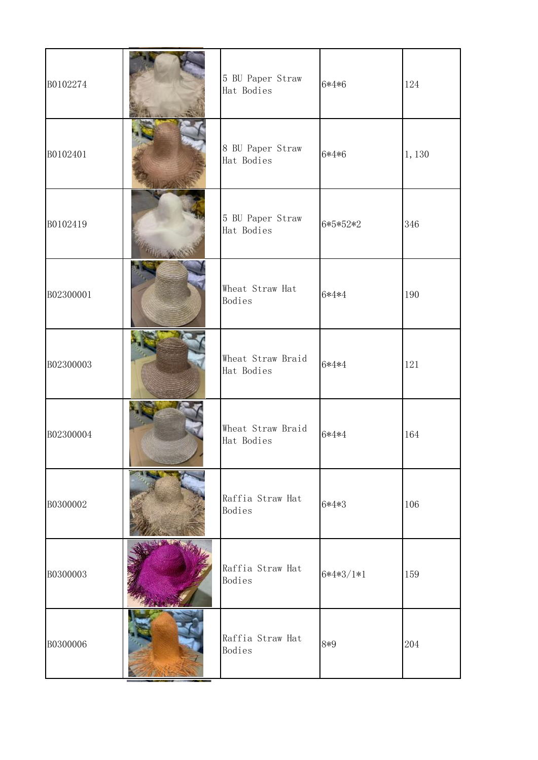| B0102274  | 5 BU Paper Straw<br>Hat Bodies  | 6*4*6       | 124   |  |
|-----------|---------------------------------|-------------|-------|--|
| B0102401  | 8 BU Paper Straw<br>Hat Bodies  | 6*4*6       | 1,130 |  |
| B0102419  | 5 BU Paper Straw<br>Hat Bodies  | 6*5*52*2    | 346   |  |
| B02300001 | Wheat Straw Hat<br>Bodies       | 6*4*4       | 190   |  |
| B02300003 | Wheat Straw Braid<br>Hat Bodies | 6*4*4       | 121   |  |
| B02300004 | Wheat Straw Braid<br>Hat Bodies | 6*4*4       | 164   |  |
| B0300002  | Raffia Straw Hat<br>Bodies      | 6*4*3       | 106   |  |
| B0300003  | Raffia Straw Hat<br>Bodies      | $6*4*3/1*1$ | 159   |  |
| B0300006  | Raffia Straw Hat<br>Bodies      | 8*9         | 204   |  |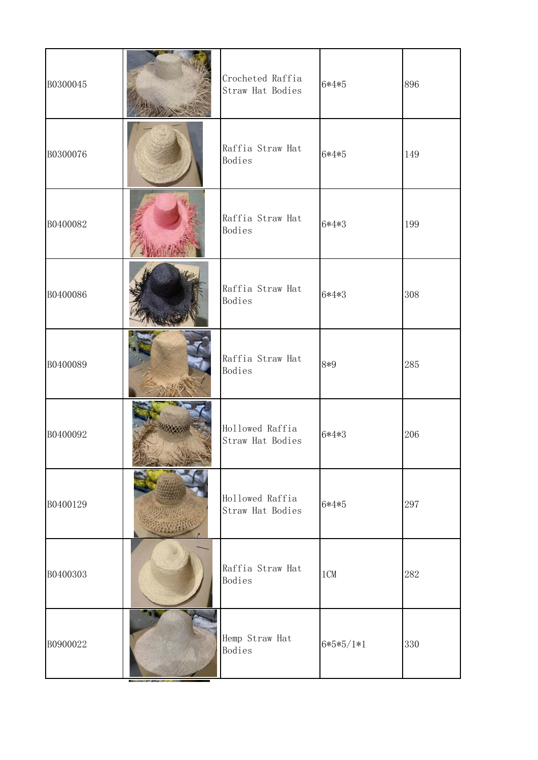| B0300045 | Crocheted Raffia<br>Straw Hat Bodies | 6*4*5       | 896 |  |
|----------|--------------------------------------|-------------|-----|--|
| B0300076 | Raffia Straw Hat<br>Bodies           | 6*4*5       | 149 |  |
| B0400082 | Raffia Straw Hat<br>Bodies           | 6*4*3       | 199 |  |
| B0400086 | Raffia Straw Hat<br>Bodies           | 6*4*3       | 308 |  |
| B0400089 | Raffia Straw Hat<br>Bodies           | 8*9         | 285 |  |
| B0400092 | Hollowed Raffia<br>Straw Hat Bodies  | 6*4*3       | 206 |  |
| B0400129 | Hollowed Raffia<br>Straw Hat Bodies  | 6*4*5       | 297 |  |
| B0400303 | Raffia Straw Hat<br>Bodies           | 1CM         | 282 |  |
| B0900022 | Hemp Straw Hat<br>Bodies             | $6*5*5/1*1$ | 330 |  |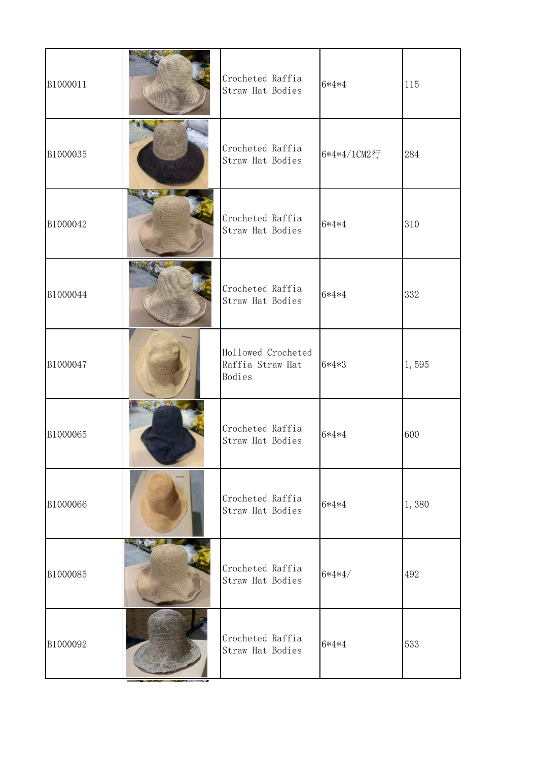| B1000011 |                                   | Crocheted Raffia<br>Straw Hat Bodies             | 6*4*4       | 115   |  |
|----------|-----------------------------------|--------------------------------------------------|-------------|-------|--|
| B1000035 |                                   | Crocheted Raffia<br>Straw Hat Bodies             | 6*4*4/1CM2行 | 284   |  |
| B1000042 |                                   | Crocheted Raffia<br>Straw Hat Bodies             | 6*4*4       | 310   |  |
| B1000044 |                                   | Crocheted Raffia<br>Straw Hat Bodies             | 6*4*4       | 332   |  |
| B1000047 |                                   | Hollowed Crocheted<br>Raffia Straw Hat<br>Bodies | 6*4*3       | 1,595 |  |
| B1000065 | <b>The Company of the Company</b> | Crocheted Raffia<br>Straw Hat Bodies             | 6*4*4       | 600   |  |
| B1000066 |                                   | Crocheted Raffia<br>Straw Hat Bodies             | 6*4*4       | 1,380 |  |
| B1000085 |                                   | Crocheted Raffia<br>Straw Hat Bodies             | $6*4*4/$    | 492   |  |
| B1000092 |                                   | Crocheted Raffia<br>Straw Hat Bodies             | 6*4*4       | 533   |  |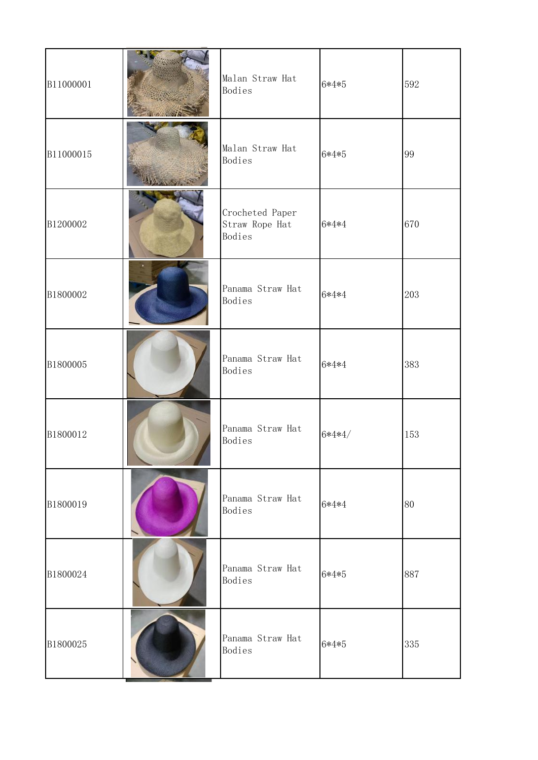| B11000001 | Malan Straw Hat<br>Bodies                   | $6*4*5$  | 592 |  |
|-----------|---------------------------------------------|----------|-----|--|
| B11000015 | Malan Straw Hat<br>Bodies                   | 6*4*5    | 99  |  |
| B1200002  | Crocheted Paper<br>Straw Rope Hat<br>Bodies | 6*4*4    | 670 |  |
| B1800002  | Panama Straw Hat<br>Bodies                  | 6*4*4    | 203 |  |
| B1800005  | Panama Straw Hat<br>Bodies                  | 6*4*4    | 383 |  |
| B1800012  | Panama Straw Hat<br>Bodies                  | $6*4*4/$ | 153 |  |
| B1800019  | Panama Straw Hat<br>Bodies                  | 6*4*4    | 80  |  |
| B1800024  | Panama Straw Hat<br>Bodies                  | 6*4*5    | 887 |  |
| B1800025  | Panama Straw Hat<br>Bodies                  | 6*4*5    | 335 |  |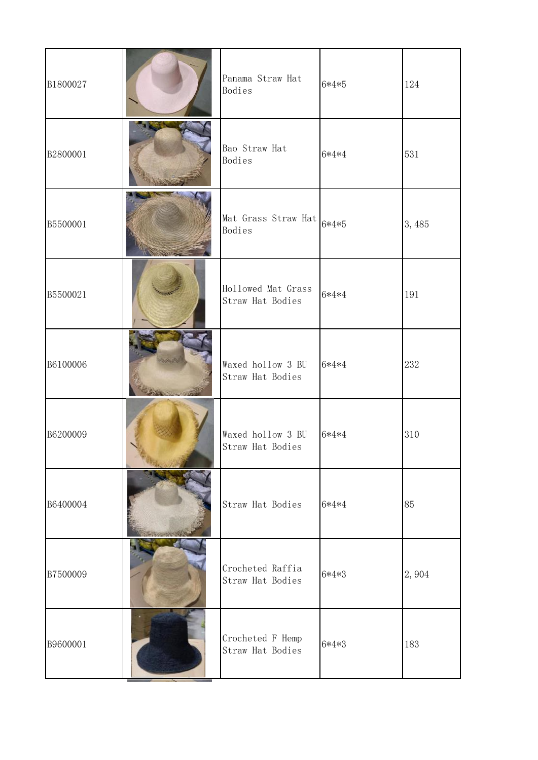| B1800027 | Panama Straw Hat<br>Bodies             | 6*4*5   | 124   |  |
|----------|----------------------------------------|---------|-------|--|
| B2800001 | Bao Straw Hat<br>Bodies                | 6*4*4   | 531   |  |
| B5500001 | Mat Grass Straw Hat<br>Bodies          | 6*4*5   | 3,485 |  |
| B5500021 | Hollowed Mat Grass<br>Straw Hat Bodies | 6*4*4   | 191   |  |
| B6100006 | Waxed hollow 3 BU<br>Straw Hat Bodies  | $6*4*4$ | 232   |  |
| B6200009 | Waxed hollow 3 BU<br>Straw Hat Bodies  | 6*4*4   | 310   |  |
| B6400004 | Straw Hat Bodies                       | 6*4*4   | 85    |  |
| B7500009 | Crocheted Raffia<br>Straw Hat Bodies   | 6*4*3   | 2,904 |  |
| B9600001 | Crocheted F Hemp<br>Straw Hat Bodies   | 6*4*3   | 183   |  |